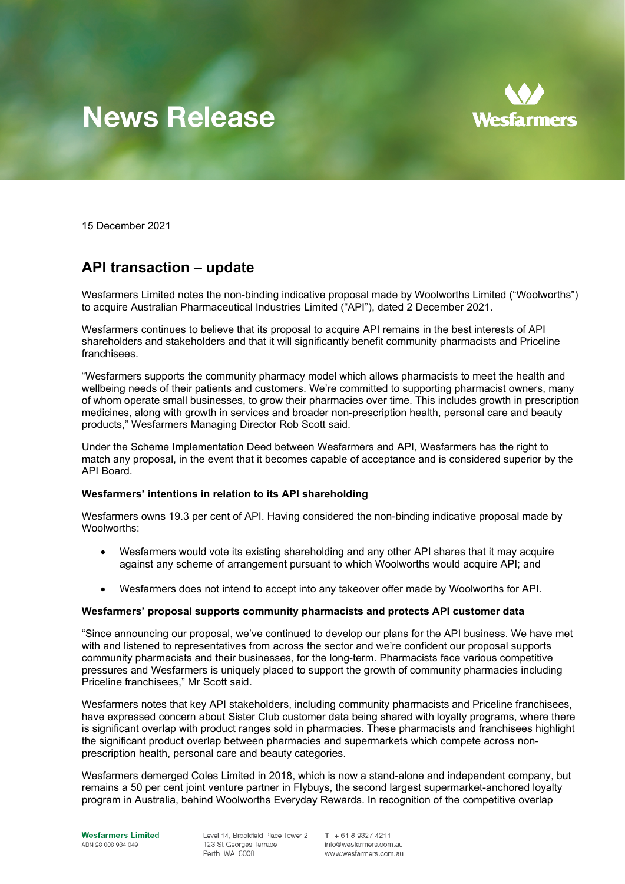# **News Release**



15 December 2021

## **API transaction – update**

Wesfarmers Limited notes the non-binding indicative proposal made by Woolworths Limited ("Woolworths") to acquire Australian Pharmaceutical Industries Limited ("API"), dated 2 December 2021.

Wesfarmers continues to believe that its proposal to acquire API remains in the best interests of API shareholders and stakeholders and that it will significantly benefit community pharmacists and Priceline franchisees.

"Wesfarmers supports the community pharmacy model which allows pharmacists to meet the health and wellbeing needs of their patients and customers. We're committed to supporting pharmacist owners, many of whom operate small businesses, to grow their pharmacies over time. This includes growth in prescription medicines, along with growth in services and broader non-prescription health, personal care and beauty products," Wesfarmers Managing Director Rob Scott said.

Under the Scheme Implementation Deed between Wesfarmers and API, Wesfarmers has the right to match any proposal, in the event that it becomes capable of acceptance and is considered superior by the API Board.

#### **Wesfarmers' intentions in relation to its API shareholding**

Wesfarmers owns 19.3 per cent of API. Having considered the non-binding indicative proposal made by Woolworths:

- Wesfarmers would vote its existing shareholding and any other API shares that it may acquire against any scheme of arrangement pursuant to which Woolworths would acquire API; and
- Wesfarmers does not intend to accept into any takeover offer made by Woolworths for API.

#### **Wesfarmers' proposal supports community pharmacists and protects API customer data**

"Since announcing our proposal, we've continued to develop our plans for the API business. We have met with and listened to representatives from across the sector and we're confident our proposal supports community pharmacists and their businesses, for the long-term. Pharmacists face various competitive pressures and Wesfarmers is uniquely placed to support the growth of community pharmacies including Priceline franchisees," Mr Scott said.

Wesfarmers notes that key API stakeholders, including community pharmacists and Priceline franchisees, have expressed concern about Sister Club customer data being shared with loyalty programs, where there is significant overlap with product ranges sold in pharmacies. These pharmacists and franchisees highlight the significant product overlap between pharmacies and supermarkets which compete across nonprescription health, personal care and beauty categories.

Wesfarmers demerged Coles Limited in 2018, which is now a stand-alone and independent company, but remains a 50 per cent joint venture partner in Flybuys, the second largest supermarket-anchored loyalty program in Australia, behind Woolworths Everyday Rewards. In recognition of the competitive overlap

Level 14, Brookfield Place Tower 2 123 St Georges Terrace Perth WA 6000

 $T + 61893274211$ info@wesfarmers.com.au www.wesfarmers.com.au